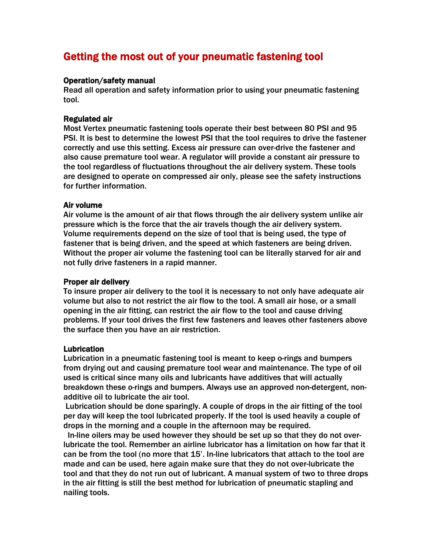# Getting the most out of your pneumatic fastening tool

#### Operation/safety manual

Read all operation and safety information prior to using your pneumatic fastening tool.

#### Regulated air

Most Vertex pneumatic fastening tools operate their best between 80 PSI and 95 PSI. It is best to determine the lowest PSI that the tool requires to drive the fastener correctly and use this setting. Excess air pressure can over-drive the fastener and also cause premature tool wear. A regulator will provide a constant air pressure to the tool regardless of fluctuations throughout the air delivery system. These tools are designed to operate on compressed air only, please see the safety instructions for further information.

#### Air volume

Air volume is the amount of air that flows through the air delivery system unlike air pressure which is the force that the air travels though the air delivery system. Volume requirements depend on the size of tool that is being used, the type of fastener that is being driven, and the speed at which fasteners are being driven. Without the proper air volume the fastening tool can be literally starved for air and not fully drive fasteners in a rapid manner.

#### Proper air delivery

To insure proper air delivery to the tool it is necessary to not only have adequate air volume but also to not restrict the air flow to the tool. A small air hose, or a small opening in the air fitting, can restrict the air flow to the tool and cause driving problems. If your tool drives the first few fasteners and leaves other fasteners above the surface then you have an air restriction.

#### Lubrication

Lubrication in a pneumatic fastening tool is meant to keep o-rings and bumpers from drying out and causing premature tool wear and maintenance. The type of oil used is critical since many oils and lubricants have additives that will actually breakdown these o-rings and bumpers. Always use an approved non-detergent, nonadditive oil to lubricate the air tool.

Lubrication should be done sparingly. A couple of drops in the air fitting of the tool per day will keep the tool lubricated properly. If the tool is used heavily a couple of drops in the morning and a couple in the afternoon may be required.

 In-line oilers may be used however they should be set up so that they do not overlubricate the tool. Remember an airline lubricator has a limitation on how far that it can be from the tool (no more that 15'. In-line lubricators that attach to the tool are made and can be used, here again make sure that they do not over-lubricate the tool and that they do not run out of lubricant. A manual system of two to three drops in the air fitting is still the best method for lubrication of pneumatic stapling and nailing tools.